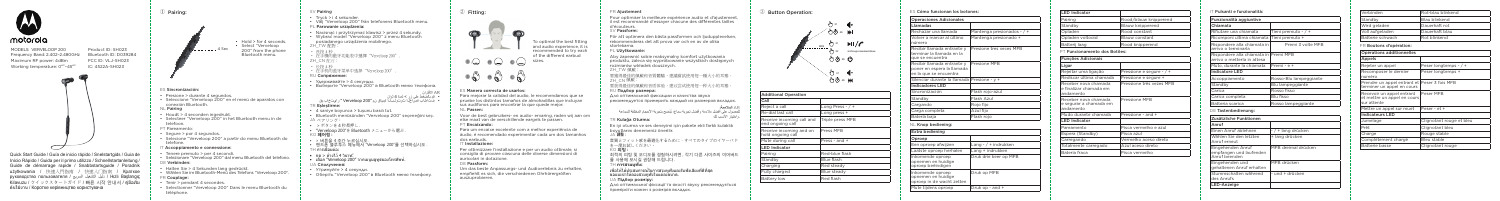

MODELS: VERVELOOP 200 Frequency Band: 2.402–2.480GHz Maximum RF power: 4dBm Working temperature: 0<sup>oc</sup>-45<sup>oc</sup> IC: 4522A-SH023



Product ID: SH023 Bluetooth ID: D039284 FCC ID: VLJ-SH023

Quick Start Guide / Guía de inicio rápido / Snelstartgids / Guia de Início Rápido / Guida per il primo utilizzo / Schnellstartanleitung / Guide de démarrage rapide / Snabbstartsguide / Poradnik użytkowania / 快速入門指南 / 快速入门指南 / Краткое руководство пользователя / السريع التشغيل دليل / Hızlı Başlangıç Kılavuzu / クイックスタートガイド / 빠른 시작 안내서 / คู่มือเริ่ม ต้นใช้งาน / Коротке керівництво користувача

① Pairing:

• Hold > for 4 seconds • Select "Verveloop 200" from the phone Bluetooth menu.

# ES Sincronización: • Presione > durante 4 segundos. • Seleccione "Verveloop 200" en el menú de aparatos con **NL Pairing** • Houdt > 4 seconden ingedrukt. • Selecteer "Verveloop 200" in het Bluetooth menu in de

conexión Bluetooth.

telefoon. PT Pareamento:

• Segure > por 4 segundos.

• Selecione "Verveloop 200" a partir do menu Bluetooth do telefone.

L \_ \_ \_ \_ \_ . 4 Sec

- IT Accoppiamento e connessione:
- Tenere premuto > per 4 secondi.
- Selezionare "Verveloop 200" dal menu Bluetooth del telefo
- E Verbinden:
- Halten Sie > 4 Sekunden lang gedrückt.
- Wählen Sie im Bluetooth-Menü des Telefons "Verveloop 20
- FR Couplage:
- Tenir > pendant 4 secondes.
- Selectionner "Verveloop 200" Dans le menu Bluetooth du téléphone.
- SV Pairing • Tryck > i 4 sekunder. • Välj "Verveloop 200" från telefonens Bluetooth menu. PL Parowanie urządzenia: • Nacisnąć i przytrzymać klawisz > przez 4 sekundy. • Wybrać model "Verveloop 200" z menu Bluetooth posiadanego urządzenia mobilnego. 'H TW 配對: • 長拚 4 秒 • 在手機的藍牙功能表中選擇 "Verveloop 200" ZH CN 配对: • 长按 4 秒 • 在手机的蓝牙菜单中选择 "Verveloop 200" RU Сопряжение: • Удерживайте > 4 секунды. • Выберите "Verveloop 200" в Bluetooth меню телефона. AR الاقتران<br>• قد بالضغط علم زر > لمدة 4 ثوان • فتحاهلاب ةصالخ ا شوتول بال آخري الشهر الذي تابع الصغير الصغير على الصغير على الضغط على الضغط على زر على زر م TR Eşleştirme: • 4 saniye boyunca > tuşunu basılı tut. • Bluetooth menüsünden "Verveloop 200" seçeneğini seç. JA ペアリング : • > ボタンを 4 秒長押し . • "Verveloop 200"を Bluetooth メニューから選ぶ . KO **페어링** : • > 버튼을 4 초간 누르십시오 . • 해드폰 블루투스 메뉴에서 "Verveloop 200"를 선택하십시오 ∃ การเชื่อมต่อ: • กด > ค้างไว้ 4 วินาท.ี • เลือก "Verveloop 200" จากเมนูบลูทูธของโทรศัพท์. UA Сполучення:
	- Утримуйте > 4 секунди.
	- Оберіть "Verveloop 200" в Bluetooth меню телефону.

För att optimera den bästa passformen och ljudupplevelsen rekommenderas det att prova var och en av de olika

# ② Fitting:

# ES Manera correcta de usarlos:

Para mejorar la calidad del audio, le recomendamos que se pruebe los distintos tamaños de almohadillas que incluyan sus audífonos para encontrar la que quede mejor.

### NL Passen:

Voor de best gebruikers- en audio- ervaring, raden wij aan om elke maat van de verschillende eargels te passen.

## PT Encaixando:

Para um encaixe excelente com a melhor experiência de áudio, é recomendado experimentar cada um dos tamanhos dos earbuds.

## ass sarisaas.<br>⊤ Installazione

Per ottimizzare l'installazione e per un audio ottimale, si consiglia di provare ciascuna delle diverse dimensioni di auricolari in dotazione.

## DE Passform:

Um das beste Anpassungs- und Audioerlebnis zu erhalten, empfiehlt es sich, die verschiedenen Ohrhörergrößen auszuprobieren.

FR Ajustement Pour optimiser la meilleure expérience audio et d'ajustement il est recommandé d'essayer chacune des différentes tailles d'écouteurs. Nessateare.<br>∨ Passform:



storlekarna. PL Użytkowanie:

Aby zapewnić sobie maksymalny komfort użytkowania produktu, zaleca się wypróbowanie wszystkich dostępnych rozmiarów wkładek dousznych. ZH TW 佩戴 要獲得最佳的佩戴和音質體驗,建議嘗試使用每一種大小的耳塞。 ZH CN 佩戴: 要获得最佳的佩戴和音质体验,建议尝试使用每一种大小的耳塞。 RU Подбор размера:

Для оптимальной фиксации и качества звука рекомендуется примерить каждый из размеров вкладок.

AR **المالءمة:** ْللحصول على افضل ملاءمة وافضل تجربة سماع، يُنصَح بتجربة الاحجام المختلفة للسماعة :Oturma Kulağa TR .واختيار األنسب لك

En iyi oturma ve ses deneyimi için pakete ekli farklı kulaklık boyutlarını denemeniz önerilir.

音質とフィット感を最適化するために、すべてのタイプのイヤーバド

JA **調整 :** を一度お試しください。 KO **피팅 :** TH **การสวมหูฟัง:**

최적의 피팅 및 오디오를 경험하시려면 , 각기 다른 사이즈의 이어버드 를 사용해 보시길 권장해 드립니다 .

เพื่อให้ได้ประสบการณ์ในการสวมหูฟังและรับฟังเสียงที่ดีที่สุด ขอแนะนำาให้ลองสวมหูฟังในแต่ละขนาด. UA Підбор розміру:

Для оптимальної фіксації та якості звуку рекомендується приміряти кожен з розмірів вкладок.

## ③ Button Operation:



| <b>Additional Operation</b>                   |                    |
|-----------------------------------------------|--------------------|
| Call                                          |                    |
| Reject a call                                 | Long Press - $/ +$ |
| Re-dial last call                             | Long press +       |
| Receive incoming call and<br>end ongoing call | Triple press MFB   |
| Receive incoming and on<br>hold ongoing call  | Press MFB          |
| Mute during call                              | Press - and +      |
| <b>LED Indicator</b>                          |                    |
| Pairing                                       | Red-blue flash     |
| Standby                                       | Blue flash         |
| Charging                                      | Red steady         |
| Fully charged                                 | Blue steady        |
| <b>Battery low</b>                            | Red flash          |

| ES Cómo funcionan los botones:                                                     |                              |
|------------------------------------------------------------------------------------|------------------------------|
| <b>Operaciones Adicionales</b>                                                     |                              |
| <b>Llamadas</b>                                                                    |                              |
| Rechazar una llamada                                                               | Mantenga presionados - $/ +$ |
| Volver a marcar al último<br>número                                                | Mantenga presionado +        |
| Recibir llamada entrante v<br>terminar la llamada en la<br>que se encuentra        | Presione tres veces MFB      |
| Recibir llamada entrante y<br>poner en espera la llamada<br>en la que se encuentra | Presione MFB                 |
| Silenciar durante la llamada Presione - y +                                        |                              |
| <b>Indicadores LED</b>                                                             |                              |
| Sincronización                                                                     | Flash rojo-azul              |
| Standby                                                                            | Flash Azul                   |
| Cargando                                                                           | Rojo fijo                    |
| Carga completa                                                                     | Azul fijo                    |
| Batería baja                                                                       | Flash roio                   |
| NL Knop bediening:                                                                 |                              |
| <b>Extra bediening</b>                                                             |                              |
| Oproep                                                                             |                              |
| Een oproep afwijzen                                                                | Lang - $/$ + indrukken       |
| Laatste oproep herhalen                                                            | Lang + indrukken             |
| Inkomende oproep<br>opnemen en huidige<br>oproep beëindigen                        | Druk drie keer op MFB        |
| Inkomende oproep<br>opnemen en huidige<br>oproep in de wacht zetten                | Druk op MFB                  |

Mute tijdens oproep  $|$  Druk op - and +

| <b>LED Indicator</b>                                        |                            |
|-------------------------------------------------------------|----------------------------|
| Pairing                                                     | Rood/blauw knipperend      |
| Standby                                                     | Blauw knipperend           |
| Opladen                                                     | Rood constant              |
| Opladen voltooid                                            | Blauw constant             |
| Batterij laag                                               | Rood knipperend            |
| PT Funcionamento dos Botões:                                |                            |
| <b>Funções Adicionais</b>                                   |                            |
| Ligar                                                       |                            |
| Rejeitar uma ligação                                        | Pressione e segure - $/ +$ |
| Rediscar última chamada                                     | Pressione e segure +       |
| Receber nova chamada<br>e finalizar chamada em<br>andamento | Pressione três vezes MFB   |
| Receber nova chamada<br>e segurar a chamada em<br>andamento | Pressione MFR              |
| Mudo durante chamada                                        | Pressione - and +          |
| <b>LED Indicator</b>                                        |                            |
| Pareamento                                                  | Pisca vermelho e azul      |
| Espera (Standby)                                            | Pisca azul                 |
| Carregando                                                  | Vermelho aceso direto      |
| Totalmente carregado                                        | Azul aceso direto          |
| Bateria fraca                                               | Pisca vermelho             |

IT Pulsanti e funzionalità:

| Tieni premuto - / +    |
|------------------------|
| Tieni premuto +        |
| Premi 3 volte MFB      |
| Premi MFB              |
| Premi - e +            |
|                        |
| Rosso-Blu lampeggiante |
| Blu lampeggiante       |
| Rosso fisso            |
| Blu fisso              |
| Rosso lampeggiante     |

Funzionalità aggiuntive Chiamata ifiutare una chiamata -Ricomponi ultima chiamata Rispondere alla chiamata in arrivo o terminarla Rispondere alla chiamata in arrivo o metterla in attesa Muto, durante la chiamata Indicatore LED Accoppiamento Standby Carica **Rosso Fisso Fisso Fisso Fisso Fisso Fisso Fisso Fisso Fisso Fisso Fisso Fisso Fisso Fisso Fisso Fisso** Carica completa Batteria scarica DE Tastenbedienung: Zusätzliche Funktionen Anruf Einen Anruf ablehnen Wählen Sie den letzten Anruf erneut Eingehenden Anruf

empfangen und laufenden Anruf beenden Eingehenden und

| - / + lang drücken  |
|---------------------|
| + lang drücken      |
| MFB dreimal drücken |
| MFB drücken         |

gehaltenen Anruf erhalten

Stummschalten während |- und + drücken

des Anrufs

LED-Anzeige

| <b>Verbinden</b> | Rot-blau blinkend    |
|------------------|----------------------|
| <b>Standby</b>   | <b>Blau blinkend</b> |
| Wird geladen     | Dauerhaft rot        |
| Voll aufgeladen  | Dauerhaft blau       |
| Batterie schwach | <b>Rot blinkend</b>  |

FR Boutons d'opération:

| Opérations additionnelles                                                  |                          |
|----------------------------------------------------------------------------|--------------------------|
| Appels                                                                     |                          |
| Rejeter un appel                                                           | Peser longtemps - / +    |
| Recomposer le dernier<br>numéro                                            | Peser longtemps +        |
| Prendre un appel entrant et Peser 3 fois MFB<br>terminer un appel en cours |                          |
| Recevoir un appel entrant<br>et mettre un appel en cours<br>sur attente    | Peser MFB                |
| Mettre un appel sur muet                                                   | Peser - et +             |
| <b>Indicateurs LED</b>                                                     |                          |
| Jumelage                                                                   | Clignotant rouge et bleu |
| Prêt                                                                       | Clignotant bleu          |
| Charge                                                                     | Rouge stable             |
| Complètement chargé                                                        | Bleu stable              |
| <b>Batterie basse</b>                                                      | Clignotant rouge         |